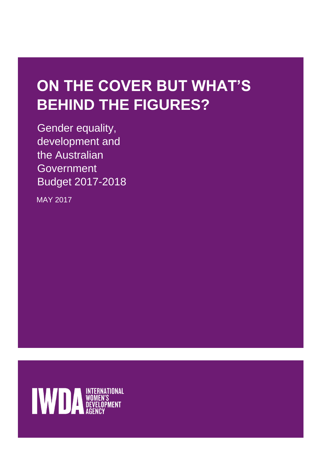# **ON THE COVER BUT WHAT'S BEHIND THE FIGURES?**

Gender equality, development and the Australian Government Budget 2017-2018

MAY 2017

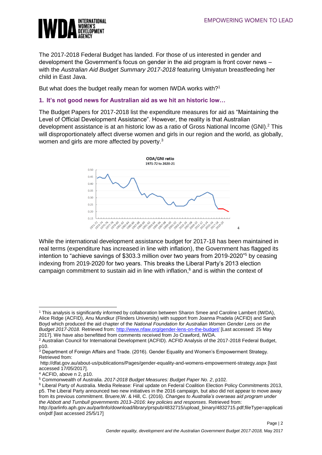

The 2017-2018 Federal Budget has landed. For those of us interested in gender and development the Government's focus on gender in the aid program is front cover news – with the *Australian Aid Budget Summary 2017-2018* featuring Umiyatun breastfeeding her child in East Java.

But what does the budget really mean for women IWDA works with?<sup>1</sup>

# **1. It's not good news for Australian aid as we hit an historic low…**

The Budget Papers for 2017-2018 list the expenditure measures for aid as "Maintaining the Level of Official Development Assistance". However, the reality is that Australian development assistance is at an historic low as a ratio of Gross National Income (GNI).<sup>2</sup> This will disproportionately affect diverse women and girls in our region and the world, as globally, women and girls are more affected by poverty.<sup>3</sup>



While the international development assistance budget for 2017-18 has been maintained in real terms (expenditure has increased in line with inflation), the Government has flagged its intention to "achieve savings of \$303.3 million over two years from 2019-2020"<sup>5</sup> by ceasing indexing from 2019-2020 for two years. This breaks the Liberal Party's 2013 election campaign commitment to sustain aid in line with inflation, $6$  and is within the context of

<sup>-</sup><sup>1</sup> This analysis is significantly informed by collaboration between Sharon Smee and Caroline Lambert (IWDA), Alice Ridge (ACFID), Anu Mundkur (Flinders University) with support from Joanna Pradela (ACFID) and Sarah Boyd which produced the aid chapter of the *National Foundation for Australian Women Gender Lens on the Budget 2017-2018.* Retrieved from:<http://www.nfaw.org/gender-lens-on-the-budget/> [Last accessed: 25 May 2017]. We have also benefitted from comments received from Jo Crawford, IWDA.

<sup>2</sup> Australian Council for International Development (ACFID). ACFID Analysis of the 2017-2018 Federal Budget, p10.

 $3$  Department of Foreign Affairs and Trade. (2016). Gender Equality and Women's Empowerment Strategy. Retrieved from:

<http://dfat.gov.au/about-us/publications/Pages/gender-equality-and-womens-empowerment-strategy.aspx> [last accessed 17/05/2017].

<sup>4</sup> ACFID, above n 2, p10.

<sup>5</sup> Commonwealth of Australia. *2017-2018 Budget Measures: Budget Paper No. 2*, p102.

<sup>6</sup> Liberal Party of Australia. Media Release: Final update on Federal Coalition Election Policy Commitments 2013, p5. The Liberal Party announced two new initiatives in the 2016 campaign, but also did not appear to move away from its previous commitment. Bruere,W. & Hill, C. (2016). *Changes to Australia's overseas aid program under the Abbott and Turnbull governments 2013–2016: key policies and responses*. Retrieved from:

[http://parlinfo.aph.gov.au/parlInfo/download/library/prspub/4832715/upload\\_binary/4832715.pdf;fileType=applicati](http://parlinfo.aph.gov.au/parlInfo/download/library/prspub/4832715/upload_binary/4832715.pdf;fileType=application/pdf) [on/pdf](http://parlinfo.aph.gov.au/parlInfo/download/library/prspub/4832715/upload_binary/4832715.pdf;fileType=application/pdf) [last accessed 25/5/17]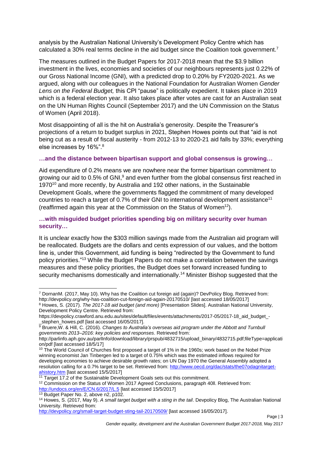analysis by the Australian National University's Development Policy Centre which has calculated a 30% real terms decline in the aid budget since the Coalition took government.<sup>7</sup>

The measures outlined in the Budget Papers for 2017-2018 mean that the \$3.9 billion investment in the lives, economies and societies of our neighbours represents just 0.22% of our Gross National Income (GNI), with a predicted drop to 0.20% by FY2020-2021. As we argued, along with our colleagues in the National Foundation for Australian Women *Gender Lens on the Federal Budget,* this CPI "pause" is politically expedient. It takes place in 2019 which is a federal election year. It also takes place after votes are cast for an Australian seat on the UN Human Rights Council (September 2017) and the UN Commission on the Status of Women (April 2018).

Most disappointing of all is the hit on Australia's generosity. Despite the Treasurer's projections of a return to budget surplus in 2021, Stephen Howes points out that "aid is not being cut as a result of fiscal austerity - from 2012-13 to 2020-21 aid falls by 33%; everything else increases by 16%".<sup>8</sup>

#### **…and the distance between bipartisan support and global consensus is growing…**

Aid expenditure of 0.2% means we are nowhere near the former bipartisan commitment to growing our aid to 0.5% of GNI, $9$  and even further from the global consensus first reached in 1970<sup>10</sup> and more recently, by Australia and 192 other nations, in the Sustainable Development Goals, where the governments flagged the commitment of many developed countries to reach a target of  $0.7\%$  of their GNI to international development assistance<sup>11</sup> (reaffirmed again this year at the Commission on the Status of Women<sup>12</sup>).

## **…with misguided budget priorities spending big on military security over human security…**

It is unclear exactly how the \$303 million savings made from the Australian aid program will be reallocated. Budgets are the dollars and cents expression of our values, and the bottom line is, under this Government, aid funding is being "redirected by the Government to fund policy priorities."<sup>13</sup> While the Budget Papers do not make a correlation between the savings measures and these policy priorities, the Budget does set forward increased funding to security mechanisms domestically and internationally.<sup>14</sup> Minister Bishop suggested that the

-

Page | 3

<sup>7</sup> DornanM. (2017, May 10). Why has the Coalition cut foreign aid (again)? DevPolicy Blog. Retrieved from: <http://devpolicy.org/why-has-coalition-cut-foreign-aid-again-20170510/> [last accessed 18/05/2017]

<sup>8</sup> Howes, S. (2017). *The 2017-18 aid budget (and more)* [Presentation Slides]. Australian National University, Development Policy Centre. Retrieved from:

[https://devpolicy.crawford.anu.edu.au/sites/default/files/events/attachments/2017-05/2017-18\\_aid\\_budget\\_-](https://devpolicy.crawford.anu.edu.au/sites/default/files/events/attachments/2017-05/2017-18_aid_budget_-_stephen_howes.pdf) [\\_stephen\\_howes.pdf](https://devpolicy.crawford.anu.edu.au/sites/default/files/events/attachments/2017-05/2017-18_aid_budget_-_stephen_howes.pdf) [last accessed 16/05/2017].

<sup>9</sup> Bruere,W. & Hill, C. (2016). *Changes to Australia's overseas aid program under the Abbott and Turnbull governments 2013–2016: key policies and responses*. Retrieved from:

[http://parlinfo.aph.gov.au/parlInfo/download/library/prspub/4832715/upload\\_binary/4832715.pdf;fileType=applicati](http://parlinfo.aph.gov.au/parlInfo/download/library/prspub/4832715/upload_binary/4832715.pdf;fileType=application/pdf) [on/pdf](http://parlinfo.aph.gov.au/parlInfo/download/library/prspub/4832715/upload_binary/4832715.pdf;fileType=application/pdf) [last accessed 18/5/17]

<sup>&</sup>lt;sup>10</sup> The World Council of Churches first proposed a target of 1% in the 1960s; work based on the Nobel Prize winning economist Jan Tinbergen led to a target of 0.75% which was the estimated inflows required for developing economies to achieve desirable growth rates; on UN Day 1970 the General Assembly adopted a resolution calling for a 0.7% target to be set. Retrieved from: [http://www.oecd.org/dac/stats/the07odagnitarget](http://www.oecd.org/dac/stats/the07odagnitarget-ahistory.htm)[ahistory.htm](http://www.oecd.org/dac/stats/the07odagnitarget-ahistory.htm) [last accessed 15/5/2017]

 $11$  Target 17.2 of the Sustainable Development Goals sets out this commitment.

<sup>&</sup>lt;sup>12</sup> Commission on the Status of Women 2017 Agreed Conclusions, paragraph 40II. Retrieved from:

<http://undocs.org/en/E/CN.6/2017/L.5> [last accessed 15/5/2017]

<sup>&</sup>lt;sup>13</sup> Budget Paper No. 2, above n2, p102.

<sup>14</sup> Howes, S. (2017, May 9). *A small target budget with a sting in the tail*. Devpolicy Blog, The Australian National University. Retrieved from:

<http://devpolicy.org/small-target-budget-sting-tail-20170509/> [last accessed 16/05/2017].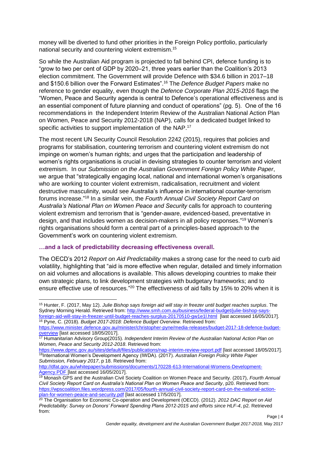money will be diverted to fund other priorities in the Foreign Policy portfolio, particularly national security and countering violent extremism. 15

So while the Australian Aid program is projected to fall behind CPI, defence funding is to "grow to two per cent of GDP by 2020–21, three years earlier than the Coalition's 2013 election commitment. The Government will provide Defence with \$34.6 billion in 2017–18 and \$150.6 billion over the Forward Estimates". <sup>16</sup> The *Defence Budget Papers* make no reference to gender equality, even though the *Defence Corporate Plan 2015-2016* flags the "Women, Peace and Security agenda is central to Defence's operational effectiveness and is an essential component of future planning and conduct of operations" (pg. 5). One of the 16 recommendations in the Independent Interim Review of the Australian National Action Plan on Women, Peace and Security 2012-2018 (NAP), calls for a dedicated budget linked to specific activities to support implementation of the NAP.<sup>17</sup>

The most recent UN Security Council Resolution 2242 (2015), requires that policies and programs for stabilisation, countering terrorism and countering violent extremism do not impinge on women's human rights; and urges that the participation and leadership of women's rights organisations is crucial in devising strategies to counter terrorism and violent extremism. In our *Submission on the Australian Government Foreign Policy White Paper*, we argue that "strategically engaging local, national and international women's organisations who are working to counter violent extremism, radicalisation, recruitment and violent destructive masculinity, would see Australia's influence in international counter-terrorism forums increase." <sup>18</sup> In a similar vein, the *Fourth Annual Civil Society Report Card on Australia's National Plan on Women Peace and Security* calls for approach to countering violent extremism and terrorism that is "gender-aware, evidenced-based, preventative in design, and that includes women as decision-makers in all policy responses." <sup>19</sup> Women's rights organisations should form a central part of a principles-based approach to the Government's work on countering violent extremism.

#### **…and a lack of predictability decreasing effectiveness overall.**

-

The OECD's 2012 *Report on Aid Predictability* makes a strong case for the need to curb aid volatility, highlighting that "aid is more effective when regular, detailed and timely information on aid volumes and allocations is available. This allows developing countries to make their own strategic plans, to link development strategies with budgetary frameworks; and to ensure effective use of resources."<sup>20</sup> The effectiveness of aid falls by 15% to 20% when it is

<https://www.dpmc.gov.au/sites/default/files/publications/nap-interim-review-report.pdf> [last accessed 18/05/2017]. <sup>18</sup>International Women's Development Agency (IWDA). (2017). *Australian Foreign Policy White Paper Submission, February 2017*, p 18. Retrieved from:

[http://dfat.gov.au/whitepaper/submissions/documents/170228-613-International-Womens-Development-](http://dfat.gov.au/whitepaper/submissions/documents/170228-613-International-Womens-Development-Agency.PDF%20Last%20accessed%2017/5/17)[Agency.PDF \[last accessed 16/05/2017\].](http://dfat.gov.au/whitepaper/submissions/documents/170228-613-International-Womens-Development-Agency.PDF%20Last%20accessed%2017/5/17)

<sup>15</sup> Hunter, F. (2017, May 12). *Julie Bishop says foreign aid will stay in freezer until budget reaches surplus*. The Sydney Morning Herald. Retrieved from: [http://www.smh.com.au/business/federal-budget/julie-bishop-says](http://www.smh.com.au/business/federal-budget/julie-bishop-says-foreign-aid-will-stay-in-freezer-until-budget-reaches-surplus-20170510-gw1e1l.html)[foreign-aid-will-stay-in-freezer-until-budget-reaches-surplus-20170510-gw1e1l.html](http://www.smh.com.au/business/federal-budget/julie-bishop-says-foreign-aid-will-stay-in-freezer-until-budget-reaches-surplus-20170510-gw1e1l.html) [last accessed 16/05/2017]. <sup>16</sup> Pyne, C. (2018). *Budget 2017-2018: Defence Budget Overview*. Retrieved from:

[https://www.minister.defence.gov.au/minister/christopher-pyne/media-releases/budget-2017-18-defence-budget](https://www.minister.defence.gov.au/minister/christopher-pyne/media-releases/budget-2017-18-defence-budget-overview)[overview](https://www.minister.defence.gov.au/minister/christopher-pyne/media-releases/budget-2017-18-defence-budget-overview) [last accessed 18/05/2017].

<sup>17</sup> Humanitarian Advisory Group(2015). *Independent Interim Review of the Australian National Action Plan on Women, Peace and Security 2012-2018*. Retrieved from:

<sup>19</sup> Monash GPS and the Australian Civil Society Coalition on Women Peace and Security. (2017), *Fourth Annual Civil Society Report Card on Australia's National Plan on Women Peace and Security*, p20. Retrieved from: [https://wpscoalition.files.wordpress.com/2017/05/fourth-annual-civil-society-report-card-on-the-national-action](https://wpscoalition.files.wordpress.com/2017/05/fourth-annual-civil-society-report-card-on-the-national-action-plan-for-women-peace-and-security.pdf)[plan-for-women-peace-and-security.pdf](https://wpscoalition.files.wordpress.com/2017/05/fourth-annual-civil-society-report-card-on-the-national-action-plan-for-women-peace-and-security.pdf) [last accessed 17/5/2017].

<sup>20</sup> The Organisation for Economic Co-operation and Development (OECD). (2012). *2012 DAC Report on Aid Predictability: Survey on Donors' Forward Spending Plans 2012-2015 and efforts since HLF-4*, p2. Retrieved from: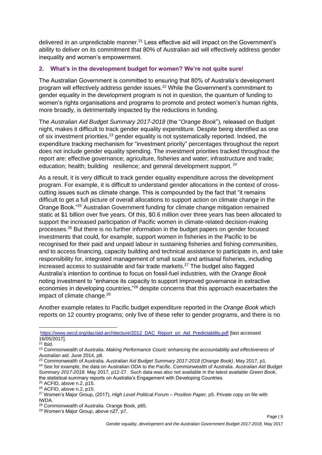delivered in an unpredictable manner.<sup>21</sup> Less effective aid will impact on the Government's ability to deliver on its commitment that 80% of Australian aid will effectively address gender inequality and women's empowerment.

# **2. What's in the development budget for women? We're not quite sure!**

The Australian Government is committed to ensuring that 80% of Australia's development program will effectively address gender issues.<sup>22</sup> While the Government's commitment to gender equality in the development program is not in question, the quantum of funding to women's rights organisations and programs to promote and protect women's human rights, more broadly, is detrimentally impacted by the reductions in funding.

The *Australian Aid Budget Summary 2017-2018* (the "*Orange Book*"), released on Budget night, makes it difficult to track gender equality expenditure. Despite being identified as one of six investment priorities,<sup>23</sup> gender equality is not systematically reported. Indeed, the expenditure tracking mechanism for "investment priority" percentages throughout the report does not include gender equality spending. The investment priorities tracked throughout the report are: effective governance; agriculture, fisheries and water; infrastructure and trade; education; health; building resilience; and general development support. <sup>24</sup>

As a result, it is very difficult to track gender equality expenditure across the development program. For example, it is difficult to understand gender allocations in the context of crosscutting issues such as climate change. This is compounded by the fact that "it remains difficult to get a full picture of overall allocations to support action on climate change in the Orange Book."<sup>25</sup> Australian Government funding for climate change mitigation remained static at \$1 billion over five years. Of this, \$0.6 million over three years has been allocated to support the increased participation of Pacific women in climate-related decision-making processes.<sup>26</sup> But there is no further information in the budget papers on gender focused investments that could, for example, support women in fisheries in the Pacific to be recognised for their paid and unpaid labour in sustaining fisheries and fishing communities, and to access financing, capacity building and technical assistance to participate in, and take responsibility for, integrated management of small scale and artisanal fisheries, including increased access to sustainable and fair trade markets.<sup>27</sup> The budget also flagged Australia's intention to continue to focus on fossil-fuel industries, with the *Orange Book* noting investment to "enhance its capacity to support improved governance in extractive economies in developing countries,"<sup>28</sup> despite concerns that this approach exacerbates the impact of climate change.<sup>29</sup>

Another example relates to Pacific budget expenditure reported in the *Orange Book* which reports on 12 country programs; only five of these refer to gender programs, and there is no

-

<sup>24</sup> See for example, the data on Australian ODA to the Pacific. Commonwealth of Australia. *Australian Aid Budget Summary 2017-2018.* May 2017, p12-27. Such data was also not available in the latest available *Green Book*, the statistical summary reports on Australia's Engagement with Developing Countries.

[https://www.oecd.org/dac/aid-architecture/2012\\_DAC\\_Report\\_on\\_Aid\\_Predictability.pdf](https://www.oecd.org/dac/aid-architecture/2012_DAC_Report_on_Aid_Predictability.pdf) [last accessed 16/05/2017].

 $21$  Ibid.

<sup>22</sup> Commonwealth of Australia. *Making Performance Count: enhancing the accountability and effectiveness of Australian aid*. June 2014, p8.

<sup>23</sup> Commonwealth of Australia. *Australian Aid Budget Summary 2017-2018 (Orange Book).* May 2017, p1.

<sup>25</sup> ACFID, above n.2, p15. <sup>26</sup> ACFID, above n.2, p15.

<sup>27</sup> Women's Major Group, (2017), *High Level Political Forum – Position Paper,* p5. Private copy on file with IWDA.

<sup>28</sup> Commonwealth of Australia. Orange Book, p65.

<sup>29</sup> Women's Major Group, above n27, p7.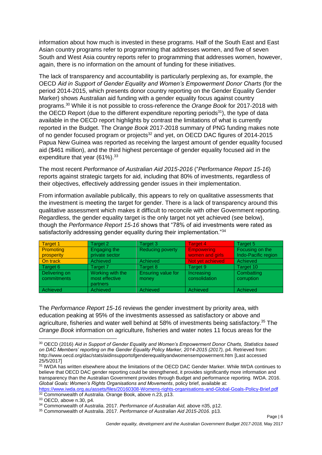information about how much is invested in these programs. Half of the South East and East Asian country programs refer to programming that addresses women, and five of seven South and West Asia country reports refer to programming that addresses women, however, again, there is no information on the amount of funding for these initiatives.

The lack of transparency and accountability is particularly perplexing as, for example, the OECD *Aid in Support of Gender Equality and Women's Empowerment Donor Charts* (for the period 2014-2015, which presents donor country reporting on the Gender Equality Gender Marker) shows Australian aid funding with a gender equality focus against country programs.<sup>30</sup> While it is not possible to cross-reference the *Orange Book* for 2017-2018 with the OECD Report (due to the different expenditure reporting periods<sup>31</sup>), the type of data available in the OECD report highlights by contrast the limitations of what is currently reported in the Budget. The *Orange Book* 2017-2018 summary of PNG funding makes note of no gender focused program or projects<sup>32</sup> and yet, on OECD DAC figures of 2014-2015 Papua New Guinea was reported as receiving the largest amount of gender equality focused aid (\$461 million), and the third highest percentage of gender equality focused aid in the expenditure that year  $(61\%)$ .<sup>33</sup>

The most recent *Performance of Australian Aid 2015-2016* ("*Performance Report 15-16*) reports against strategic targets for aid, including that 80% of investments, regardless of their objectives, effectively addressing gender issues in their implementation.

From information available publically, this appears to rely on qualitative assessments that the investment is meeting the target for gender. There is a lack of transparency around this qualitative assessment which makes it difficult to reconcile with other Government reporting. Regardless, the gender equality target is the only target not yet achieved (see below), though the *Performance Report 15-16* shows that "78% of aid investments were rated as satisfactorily addressing gender equality during their implementation."34

| <b>Target 1</b>  | Target 2         | Target 3                | <b>Target 4</b>   | Target 5            |
|------------------|------------------|-------------------------|-------------------|---------------------|
| <b>Promoting</b> | Engaging the     | <b>Reducing poverty</b> | <b>Empowering</b> | Focusing on the     |
| prosperity       | private sector   |                         | women and girls   | Indo-Pacific region |
| On track         | Achieved         | <b>Achieved</b>         | Not vet achieved  | Achieved            |
| Target 6         | Target 7         | Target 8                | Target 9          | Target 10           |
| Delivering on    | Working with the | Ensuring value for      | Increasing        | Combatting          |
| commitments      | most effective   | money                   | consolidation     | corruption          |
|                  | <b>partners</b>  |                         |                   |                     |
| Achieved         | Achieved         | Achieved                | Achieved          | Achieved            |

The *Performance Report 15-16* reviews the gender investment by priority area, with education peaking at 95% of the investments assessed as satisfactory or above and agriculture, fisheries and water well behind at 58% of investments being satisfactory.<sup>35</sup> The *Orange Book* information on agriculture, fisheries and water notes 11 focus areas for the

<https://www.iwda.org.au/assets/files/20160308-Womens-rights-organisations-and-Global-Goals-Policy-Brief.pdf> <sup>32</sup> Commonwealth of Australia. Orange Book, above n.23, p13.

-

Page | 6

<sup>30</sup> OECD (2016) *Aid in Support of Gender Equality and Women's Empowerment Donor Charts, Statistics based*  on DAC Members' reporting on the Gender Equality Policy Marker, 2014-2015 (2017), p4. Retrieved from: http://www.oecd.org/dac/stats/aidinsupportofgenderequalityandwomensempowerment.htm [Last accessed 25/5/2017]

<sup>&</sup>lt;sup>31</sup> IWDA has written elsewhere about the limitations of the OECD DAC Gender Marker. While IWDA continues to believe that OECD DAC gender reporting could be strengthened, it provides significantly more information and transparency than the Australian Government provides through Budget and performance reporting. IWDA. 2016. *Global Goals: Women's Rights Organisations and Movements*, policy brief, available at:

<sup>33</sup> OECD, above n.30, p4.

<sup>34</sup> Commonwealth of Australia. 2017. *Performance of Australian Aid,* above n35, p12.

<sup>35</sup> Commonwealth of Australia. 2017. *Performance of Australian Aid 2015-2016.* p13.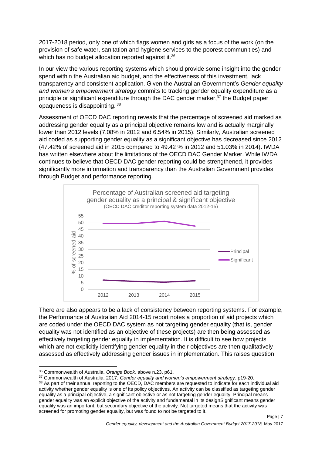2017-2018 period, only one of which flags women and girls as a focus of the work (on the provision of safe water, sanitation and hygiene services to the poorest communities) and which has no budget allocation reported against it.<sup>36</sup>

In our view the various reporting systems which should provide some insight into the gender spend within the Australian aid budget, and the effectiveness of this investment, lack transparency and consistent application. Given the Australian Government's *Gender equality and women's empowerment strategy* commits to tracking gender equality expenditure as a principle or significant expenditure through the DAC gender marker,<sup>37</sup> the Budget paper opaqueness is disappointing. <sup>38</sup>

Assessment of OECD DAC reporting reveals that the percentage of screened aid marked as addressing gender equality as a principal objective remains low and is actually marginally lower than 2012 levels (7.08% in 2012 and 6.54% in 2015). Similarly, Australian screened aid coded as supporting gender equality as a significant objective has decreased since 2012 (47.42% of screened aid in 2015 compared to 49.42 % in 2012 and 51.03% in 2014). IWDA has written elsewhere about the limitations of the OECD DAC Gender Marker. While IWDA continues to believe that OECD DAC gender reporting could be strengthened, it provides significantly more information and transparency than the Australian Government provides through Budget and performance reporting.



There are also appears to be a lack of consistency between reporting systems. For example, the Performance of Australian Aid 2014-15 report notes a proportion of aid projects which are coded under the OECD DAC system as not targeting gender equality (that is, gender equality was not identified as an objective of these projects) are then being assessed as effectively targeting gender equality in implementation. It is difficult to see how projects which are not explicitly identifying gender equality in their objectives are then qualitatively assessed as effectively addressing gender issues in implementation. This raises question

<sup>36</sup> Commonwealth of Australia. *Orange Book,* above n.23, p61.

<sup>37</sup> Commonwealth of Australia. 2017. *Gender equality and women's empowerment strategy.* p19-20.

<sup>38</sup> As part of their annual reporting to the OECD, DAC members are requested to indicate for each individual aid activity whether gender equality is one of its policy objectives. An activity can be classified as targeting gender equality as a principal objective, a significant objective or as not targeting gender equality. Principal means gender equality was an explicit objective of the activity and fundamental in its designSignificant means gender equality was an important, but secondary objective of the activity. Not targeted means that the activity was screened for promoting gender equality, but was found to not be targeted to it.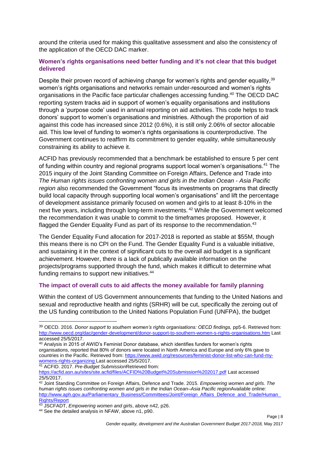around the criteria used for making this qualitative assessment and also the consistency of the application of the OECD DAC marker.

## **Women's rights organisations need better funding and it's not clear that this budget delivered**

Despite their proven record of achieving change for women's rights and gender equality.<sup>39</sup> women's rights organisations and networks remain under-resourced and women's rights organisations in the Pacific face particular challenges accessing funding.<sup>40</sup> The OECD DAC reporting system tracks aid in support of women's equality organisations and institutions through a 'purpose code' used in annual reporting on aid activities. This code helps to track donors' support to women's organisations and ministries. Although the proportion of aid against this code has increased since 2012 (0.6%), it is still only 2.06% of sector allocable aid. This low level of funding to women's rights organisations is counterproductive. The Government continues to reaffirm its commitment to gender equality, while simultaneously constraining its ability to achieve it.

ACFID has previously recommended that a benchmark be established to ensure 5 per cent of funding within country and regional programs support local women's organisations.<sup>41</sup> The 2015 inquiry of the Joint Standing Committee on Foreign Affairs, Defence and Trade into *The Human rights issues confronting women and girls in the Indian Ocean - Asia Pacific region* also recommended the Government "focus its investments on programs that directly build local capacity through supporting local women's organisations" and lift the percentage of development assistance primarily focused on women and girls to at least 8-10% in the next five years, including through long-term investments. <sup>42</sup> While the Government welcomed the recommendation it was unable to commit to the timeframes proposed. However, it flagged the Gender Equality Fund as part of its response to the recommendation.<sup>43</sup>

The Gender Equality Fund allocation for 2017-2018 is reported as stable at \$55M, though this means there is no CPI on the Fund. The Gender Equality Fund is a valuable initiative, and sustaining it in the context of significant cuts to the overall aid budget is a significant achievement. However, there is a lack of publically available information on the projects/programs supported through the fund, which makes it difficult to determine what funding remains to support new initiatives.<sup>44</sup>

#### **The impact of overall cuts to aid affects the money available for family planning**

Within the context of US Government announcements that funding to the United Nations and sexual and reproductive health and rights (SRHR) will be cut, specifically the zeroing out of the US funding contribution to the United Nations Population Fund (UNFPA), the budget

<sup>41</sup> ACFID. 2017. *Pre-Budget Submission*Retrieved from:

<sup>39</sup> OECD. 2016. *Donor support to southern women's rights organisations: OECD findings,* pp5-6. Retrieved from: <http://www.oecd.org/dac/gender-development/donor-support-to-southern-women-s-rights-organisations.htm> Last accessed 25/5/2017.

<sup>40</sup> Analysis in 2015 of AWID's Feminist Donor database, which identifies funders for women's rights organisations, reported that 80% of donors were located in North America and Europe and only 6% gave to countries in the Pacific. Retrieved from: [https://www.awid.org/resources/feminist-donor-list-who-can-fund-my](https://www.awid.org/resources/feminist-donor-list-who-can-fund-my-womens-rights-organizing)[womens-rights-organizing L](https://www.awid.org/resources/feminist-donor-list-who-can-fund-my-womens-rights-organizing)ast accessed 25/5/2017.

<https://acfid.asn.au/sites/site.acfid/files/ACFID%20Budget%20Submission%202017.pdf> Last accessed 25/5/2017.

<sup>42</sup> Joint Standing Committee on Foreign Affairs, Defence and Trade. 2015. *Empowering women and girls. The human rights issues confronting women and girls in the Indian Ocean–Asia Pacific region*Available online: [http://www.aph.gov.au/Parliamentary\\_Business/Committees/Joint/Foreign\\_Affairs\\_Defence\\_and\\_Trade/Human\\_](http://www.aph.gov.au/Parliamentary_Business/Committees/Joint/Foreign_Affairs_Defence_and_Trade/Human_Rights/Report) [Rights/Report](http://www.aph.gov.au/Parliamentary_Business/Committees/Joint/Foreign_Affairs_Defence_and_Trade/Human_Rights/Report)

<sup>43</sup> JSCFADT, *Empowering women and girls*, above n42, p26.

<sup>44</sup> See the detailed analysis in NFAW, above n1, p90.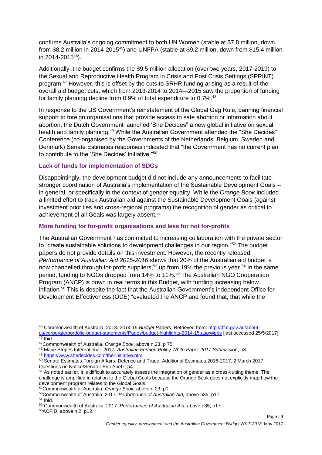confirms Australia's ongoing commitment to both UN Women (stable at \$7.8 million, down from \$8.2 million in 2014-2015<sup>45</sup>) and UNFPA (stable at \$9.2 million, down from \$15.4 million in 2014-2015<sup>46</sup>).

Additionally, the budget confirms the \$9.5 million allocation (over two years, 2017-2019) to the Sexual and Reproductive Health Program in Crisis and Post Crisis Settings (SPRINT) program.<sup>47</sup> However, this is offset by the cuts to SRHR funding arising as a result of the overall aid budget cuts, which from 2013-2014 to 2014—2015 saw the proportion of funding for family planning decline from 0.9% of total expenditure to 0.7%.<sup>48</sup>

In response to the US Government's reinstatement of the Global Gag Rule, banning financial support to foreign organisations that provide access to safe abortion or information about abortion, the Dutch Government launched 'She Decides" a new global initiative on sexual health and family planning.<sup>49</sup> While the Australian Government attended the "She Decides" Conference (co-organised by the Governments of the Netherlands, Belgium, Sweden and Denmark) Senate Estimates responses indicated that "the Government has no current plan to contribute to the 'She Decides' initiative."<sup>50</sup>

# **Lack of funds for implementation of SDGs**

Disappointingly, the development budget did not include any announcements to facilitate stronger coordination of Australia's implementation of the Sustainable Development Goals – in general, or specifically in the context of gender equality. While the *Orange Book* included a limited effort to track Australian aid against the Sustainable Development Goals (against investment priorities and cross-regional programs) the recognition of gender as critical to achievement of all Goals was largely absent.<sup>51</sup>

## **More funding for for-profit organisations and less for not for-profits**

The Australian Government has committed to increasing collaboration with the private sector to "create sustainable solutions to development challenges in our region."<sup>52</sup> The budget papers do not provide details on this investment. However, the recently released *Performance of Australian Aid 2015-2016* shows that 20% of the Australian aid budget is now channelled through for-profit suppliers,<sup>53</sup> up from 19% the previous year.<sup>54</sup> In the same period, funding to NGOs dropped from 14% to 11%.<sup>55</sup> The Australian NGO Cooperation Program (ANCP) is down in real terms in this Budget, with funding increasing below inflation.<sup>56</sup> This is despite the fact that the Australian Government's independent Office for Development Effectiveness (ODE) "evaluated the ANCP and found that, that while the

Page | 9

<sup>-</sup><sup>45</sup> Commonwealth of Australia. 2013*. 2014-15 Budget Papers*, Retrieved from[: http://dfat.gov.au/about](http://dfat.gov.au/about-us/corporate/portfolio-budget-statements/Pages/budget-highlights-2014-15.aspx#pbs)[us/corporate/portfolio-budget-statements/Pages/budget-highlights-2014-15.aspx#pbs](http://dfat.gov.au/about-us/corporate/portfolio-budget-statements/Pages/budget-highlights-2014-15.aspx#pbs) [last accessed 25/5/2017].  $46$  Ibid.

<sup>47</sup>Commonwealth of Australia. *Orange Book,* above n.23, p 75.

<sup>48</sup> Marie Stopes International. 2017. *Australian Foreign Policy White Paper 2017 Submission*, p3.

<sup>49</sup> <https://www.shedecides.com/the-initiative.html>

<sup>50</sup> Senate Estimates Foreign Affairs, Defence and Trade, Additional Estimates 2016-2017, 2 March 2017, Questions on Notice/Senator Eric Abetz, p4.

<sup>51</sup> As noted earlier, it is difficult to accurately assess the integration of gender as a cross-cutting theme. The challenge is amplified in relation to the Global Goals because the Orange Book does not explicitly map how the development program relates to the Global Goals.

<sup>52</sup>Commonwealth of Australia. *Orange Book,* above n.23, p1.

<sup>53</sup>Commonwealth of Australia. 2017. *Performance of Australian Aid,* above n35, p17. <sup>54</sup> Ibid.

<sup>55</sup> Commonwealth of Australia. 2017. *Performance of Australian Aid,* above n35, p17.

<sup>56</sup>ACFID, above n.2, p12.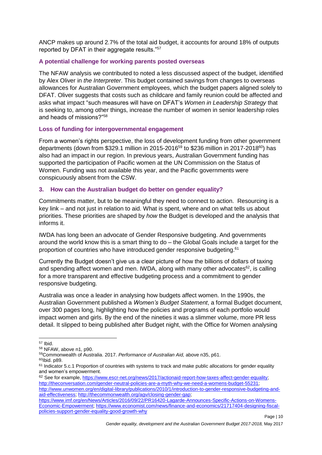ANCP makes up around 2.7% of the total aid budget, it accounts for around 18% of outputs reported by DFAT in their aggregate results."<sup>57</sup>

## **A potential challenge for working parents posted overseas**

The NFAW analysis we contributed to noted a less discussed aspect of the budget, identified by Alex Oliver in *the Interpreter*. This budget contained savings from changes to overseas allowances for Australian Government employees, which the budget papers aligned solely to DFAT. Oliver suggests that costs such as childcare and family reunion could be affected and asks what impact "such measures will have on DFAT's *Women in Leadership Strategy* that is seeking to, among other things, increase the number of women in senior leadership roles and heads of missions?"<sup>58</sup>

#### **Loss of funding for intergovernmental engagement**

From a women's rights perspective, the loss of development funding from other government departments (down from \$329.1 million in 2015-2016<sup>59</sup> to \$236 million in 2017-2018<sup>60</sup>) has also had an impact in our region. In previous years, Australian Government funding has supported the participation of Pacific women at the UN Commission on the Status of Women. Funding was not available this year, and the Pacific governments were conspicuously absent from the CSW.

## **3. How can the Australian budget do better on gender equality?**

Commitments matter, but to be meaningful they need to connect to action. Resourcing is a key link – and not just in relation to aid. What is spent, where and on what tells us about priorities. These priorities are shaped by *how* the Budget is developed and the analysis that informs it.

IWDA has long been an advocate of Gender Responsive budgeting. And governments around the world know this is a smart thing to do – the Global Goals include a target for the proportion of countries who have introduced gender responsive budgeting.<sup>61</sup>

Currently the Budget doesn't give us a clear picture of how the billions of dollars of taxing and spending affect women and men. IWDA, along with many other advocates $^{62}$ , is calling for a more transparent and effective budgeting process and a commitment to gender responsive budgeting.

Australia was once a leader in analysing how budgets affect women. In the 1990s, the Australian Government published a *Women's Budget Statement*, a formal Budget document, over 300 pages long, highlighting how the policies and programs of each portfolio would impact women and girls. By the end of the nineties it was a slimmer volume, more PR less detail. It slipped to being published after Budget night, with the Office for Women analysing

<sup>57</sup> Ibid.

<sup>58</sup> NFAW, above n1, p90.

<sup>59</sup>Commonwealth of Australia. 2017. *Performance of Australian Aid,* above n35, p61.

<sup>60</sup>Ibid. p89.

<sup>&</sup>lt;sup>61</sup> Indicator 5.c.1 Proportion of countries with systems to track and make public allocations for gender equality and women's empowerment.

<sup>62</sup> See for example[, https://www.escr-net.org/news/2017/actionaid-report-how-taxes-affect-gender-equality;](https://www.escr-net.org/news/2017/actionaid-report-how-taxes-affect-gender-equality) [http://theconversation.com/gender-neutral-policies-are-a-myth-why-we-need-a-womens-budget-55231;](http://theconversation.com/gender-neutral-policies-are-a-myth-why-we-need-a-womens-budget-55231)

[http://www.unwomen.org/en/digital-library/publications/2010/1/introduction-to-gender-responsive-budgeting-and](http://www.unwomen.org/en/digital-library/publications/2010/1/introduction-to-gender-responsive-budgeting-and-aid-effectiveness)[aid-effectiveness;](http://www.unwomen.org/en/digital-library/publications/2010/1/introduction-to-gender-responsive-budgeting-and-aid-effectiveness) [http://thecommonwealth.org/agv/closing-gender-gap;](http://thecommonwealth.org/agv/closing-gender-gap) [https://www.imf.org/en/News/Articles/2016/09/22/PR16420-Lagarde-Announces-Specific-Actions-on-Womens-](https://www.imf.org/en/News/Articles/2016/09/22/PR16420-Lagarde-Announces-Specific-Actions-on-Womens-Economic-Empowerment)

[Economic-Empowerment;](https://www.imf.org/en/News/Articles/2016/09/22/PR16420-Lagarde-Announces-Specific-Actions-on-Womens-Economic-Empowerment) [https://www.economist.com/news/finance-and-economics/21717404-designing-fiscal](https://www.economist.com/news/finance-and-economics/21717404-designing-fiscal-policies-support-gender-equality-good-growth-why)[policies-support-gender-equality-good-growth-why](https://www.economist.com/news/finance-and-economics/21717404-designing-fiscal-policies-support-gender-equality-good-growth-why)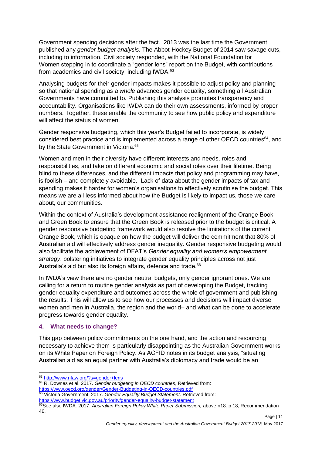Government spending decisions after the fact. 2013 was the last time the Government published any *gender budget analysis.* The Abbot-Hockey Budget of 2014 saw savage cuts, including to information. Civil society responded, with the National Foundation for Women stepping in to coordinate a "gender lens" report on the Budget, with contributions from academics and civil society, including IWDA.<sup>63</sup>

Analysing budgets for their gender impacts makes it possible to adjust policy and planning so that national spending *as a whole* advances gender equality, something all Australian Governments have committed to. Publishing this analysis promotes transparency and accountability. Organisations like IWDA can do their own assessments, informed by proper numbers. Together, these enable the community to see how public policy and expenditure will affect the status of women.

Gender responsive budgeting, which this year's Budget failed to incorporate, is widely considered best practice and is implemented across a range of other OECD countries  $64$ , and by the State Government in Victoria.<sup>65</sup>

Women and men in their diversity have different interests and needs, roles and responsibilities, and take on different economic and social roles over their lifetime. Being blind to these differences, and the different impacts that policy and programming may have, is foolish – and completely avoidable. Lack of data about the gender impacts of tax and spending makes it harder for women's organisations to effectively scrutinise the budget. This means we are all less informed about how the Budget is likely to impact us, those we care about, our communities.

Within the context of Australia's development assistance realignment of the Orange Book and Green Book to ensure that the Green Book is released prior to the budget is critical. A gender responsive budgeting framework would also resolve the limitations of the current Orange Book, which is opaque on how the budget will deliver the commitment that 80% of Australian aid will effectively address gender inequality. Gender responsive budgeting would also facilitate the achievement of DFAT's *Gender equality and women's empowerment strategy*, bolstering initiatives to integrate gender equality principles across not just Australia's aid but also its foreign affairs, defence and trade.<sup>66</sup>

In IWDA's view there are no gender neutral budgets, only gender ignorant ones. We are calling for a return to routine gender analysis as part of developing the Budget, tracking gender equality expenditure and outcomes across the whole of government and publishing the results. This will allow us to see how our processes and decisions will impact diverse women and men in Australia, the region and the world– and what can be done to accelerate progress towards gender equality.

## **4. What needs to change?**

This gap between policy commitments on the one hand, and the action and resourcing necessary to achieve them is particularly disappointing as the Australian Government works on its White Paper on Foreign Policy. As ACFID notes in its budget analysis, "situating Australian aid as an equal partner with Australia's diplomacy and trade would be an

- <https://www.oecd.org/gender/Gender-Budgeting-in-OECD-countries.pdf> <sup>65</sup> Victoria Government. 2017. *Gender Equality Budget Statement*. Retrieved from:
- <https://www.budget.vic.gov.au/priority/gender-equality-budget-statement>

<sup>63</sup> <http://www.nfaw.org/?s=gender+lens>

<sup>64</sup> R. Downes et al. 2017. *Gender budgeting in OECD countries*, Retrieved from:

<sup>&</sup>lt;sup>66</sup>See also IWDA. 2017. Australian Foreign Policy White Paper Submission, above n18. p 18, Recommendation 46.